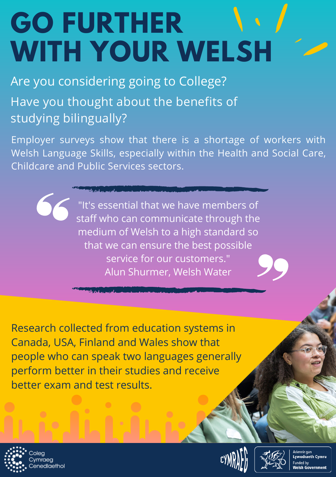## **GO FURTHER WITH YOUR WELSH**

Have you thought about the benefits of studying bilingually? Are you considering going to College?

Employer surveys show that there is a shortage of workers with Welsh Language Skills, especially within the Health and Social Care, Childcare and Public Services sectors.

> "It's essential that we have members of staff who can communicate through the medium of Welsh to a high standard so that we can ensure the best possible service for our customers." Alun Shurmer, Welsh Water

Research collected from education systems in Canada, USA, Finland and Wales show that people who can speak two languages generally perform better in their studies and receive better exam and test results.